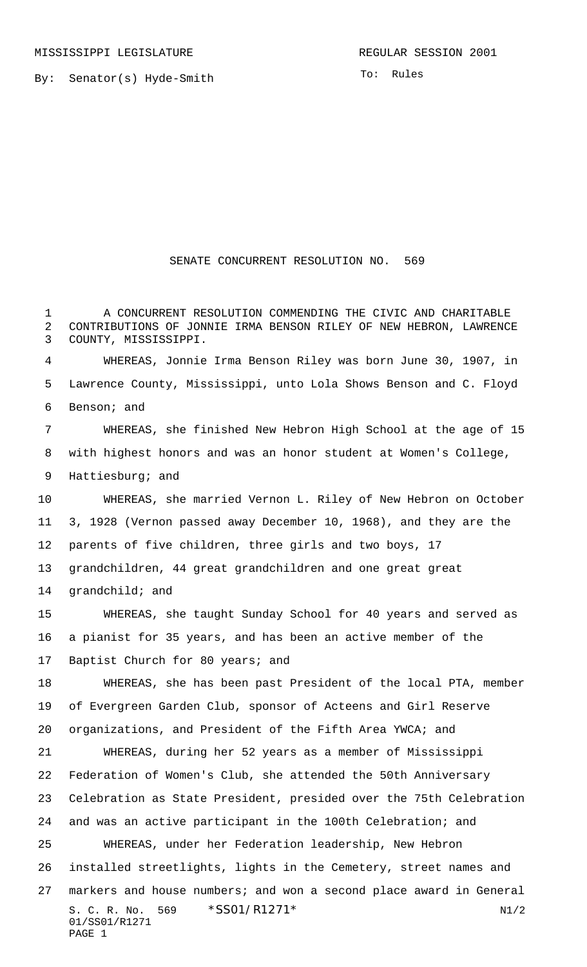By: Senator(s) Hyde-Smith

To: Rules

## SENATE CONCURRENT RESOLUTION NO. 569

 A CONCURRENT RESOLUTION COMMENDING THE CIVIC AND CHARITABLE CONTRIBUTIONS OF JONNIE IRMA BENSON RILEY OF NEW HEBRON, LAWRENCE COUNTY, MISSISSIPPI.

 WHEREAS, Jonnie Irma Benson Riley was born June 30, 1907, in Lawrence County, Mississippi, unto Lola Shows Benson and C. Floyd Benson; and

 WHEREAS, she finished New Hebron High School at the age of 15 with highest honors and was an honor student at Women's College, Hattiesburg; and

 WHEREAS, she married Vernon L. Riley of New Hebron on October 3, 1928 (Vernon passed away December 10, 1968), and they are the parents of five children, three girls and two boys, 17

grandchildren, 44 great grandchildren and one great great

grandchild; and

 WHEREAS, she taught Sunday School for 40 years and served as a pianist for 35 years, and has been an active member of the 17 Baptist Church for 80 years; and

 WHEREAS, she has been past President of the local PTA, member of Evergreen Garden Club, sponsor of Acteens and Girl Reserve organizations, and President of the Fifth Area YWCA; and

S. C. R. No. \*SS01/R1271\* N1/2 01/SS01/R1271 PAGE 1 WHEREAS, during her 52 years as a member of Mississippi Federation of Women's Club, she attended the 50th Anniversary Celebration as State President, presided over the 75th Celebration and was an active participant in the 100th Celebration; and WHEREAS, under her Federation leadership, New Hebron installed streetlights, lights in the Cemetery, street names and markers and house numbers; and won a second place award in General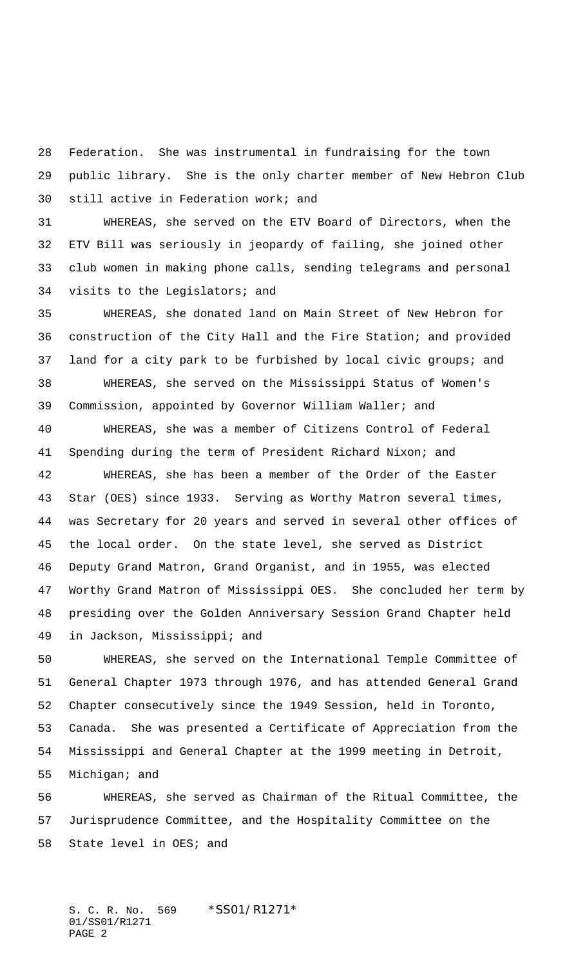Federation. She was instrumental in fundraising for the town public library. She is the only charter member of New Hebron Club still active in Federation work; and

 WHEREAS, she served on the ETV Board of Directors, when the ETV Bill was seriously in jeopardy of failing, she joined other club women in making phone calls, sending telegrams and personal visits to the Legislators; and

 WHEREAS, she donated land on Main Street of New Hebron for construction of the City Hall and the Fire Station; and provided land for a city park to be furbished by local civic groups; and WHEREAS, she served on the Mississippi Status of Women's Commission, appointed by Governor William Waller; and

 WHEREAS, she was a member of Citizens Control of Federal Spending during the term of President Richard Nixon; and

 WHEREAS, she has been a member of the Order of the Easter Star (OES) since 1933. Serving as Worthy Matron several times, was Secretary for 20 years and served in several other offices of the local order. On the state level, she served as District Deputy Grand Matron, Grand Organist, and in 1955, was elected Worthy Grand Matron of Mississippi OES. She concluded her term by presiding over the Golden Anniversary Session Grand Chapter held in Jackson, Mississippi; and

 WHEREAS, she served on the International Temple Committee of General Chapter 1973 through 1976, and has attended General Grand Chapter consecutively since the 1949 Session, held in Toronto, Canada. She was presented a Certificate of Appreciation from the Mississippi and General Chapter at the 1999 meeting in Detroit, Michigan; and

 WHEREAS, she served as Chairman of the Ritual Committee, the Jurisprudence Committee, and the Hospitality Committee on the State level in OES; and